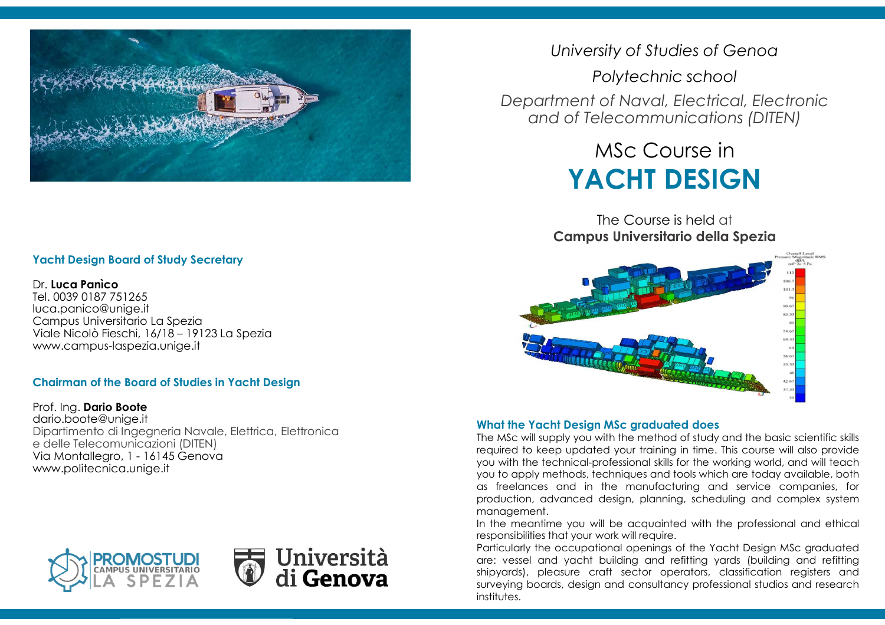

# **Yacht Design Board of Study Secretary**

## Dr. **Luca Panìco**

 Tel. 0039 0187 751265 luca.panico@unige.it Campus Universitario La Spezia Viale Nicolò Fieschi, 16/18 – 19123 La Spezia www.campus-laspezia.unige.it

# **Chairman of the Board of Studies in Yacht Design**

Prof. Ing. **Dario Boote** dario.boote@unige.it Dipartimento di Ingegneria Navale, Elettrica, Elettronicae delle Telecomunicazioni (DITEN) Via Montallegro, 1 - 16145 Genova www.politecnica.unige.it





*University of Studies of Genoa*

*Polytechnic schoolDepartment of Naval, Electrical, Electronic and of Telecommunications (DITEN)*

# MSc Course in**YACHT DESIGN**

The Course is held at**Campus Universitario della Spezia**



### **What the Yacht Design MSc graduated does**

The MSc will supply you with the method of study and the basic scientific skills<br>In mains of the linear weaked a second training in time a This accumulation in the massicle required to keep updated your training in time. This course will also provide you with the technical-professional skills for the working world, and will teach you to apply methods, techniques and tools which are today available, both as freelances and in the manufacturing and service companies, for production, advanced design, planning, scheduling and complex systemmanagement.

In the meantime you will be acquainted with the professional and ethical responsibilities that your work will require.

Particularly the occupational openings of the Yacht Design MSc graduated are: vessel and yacht building and refitting yards (building and refitting shipyards), pleasure craft sector operators, classification registers and surveying boards, design and consultancy professional studios and research institutes.